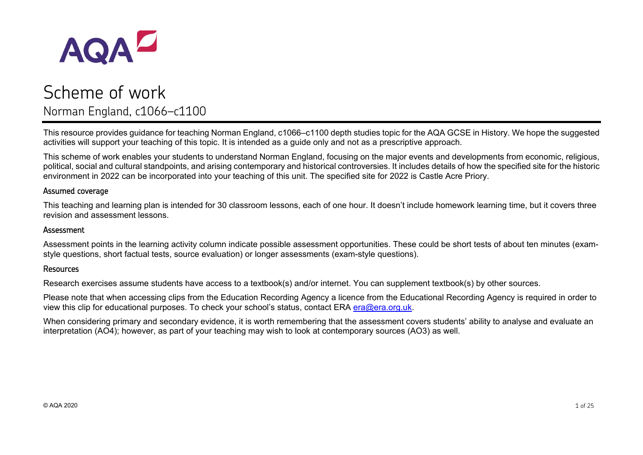

# Scheme of work Norman England, c1066–c1100

This resource provides guidance for teaching Norman England, c1066–c1100 depth studies topic for the AQA GCSE in History. We hope the suggested activities will support your teaching of this topic. It is intended as a guide only and not as a prescriptive approach.

This scheme of work enables your students to understand Norman England, focusing on the major events and developments from economic, religious, political, social and cultural standpoints, and arising contemporary and historical controversies. It includes details of how the specified site for the historic environment in 2022 can be incorporated into your teaching of this unit. The specified site for 2022 is Castle Acre Priory.

#### Assumed coverage

This teaching and learning plan is intended for 30 classroom lessons, each of one hour. It doesn't include homework learning time, but it covers three revision and assessment lessons.

#### Assessment

Assessment points in the learning activity column indicate possible assessment opportunities. These could be short tests of about ten minutes (examstyle questions, short factual tests, source evaluation) or longer assessments (exam-style questions).

#### Resources

Research exercises assume students have access to a textbook(s) and/or internet. You can supplement textbook(s) by other sources.

Please note that when accessing clips from the Education Recording Agency a licence from the Educational Recording Agency is required in order to view this clip for educational purposes. To check your school's status, contact ERA [era@era.org.uk.](mailto:era@era.org.uk)

When considering primary and secondary evidence, it is worth remembering that the assessment covers students' ability to analyse and evaluate an interpretation (AO4); however, as part of your teaching may wish to look at contemporary sources (AO3) as well.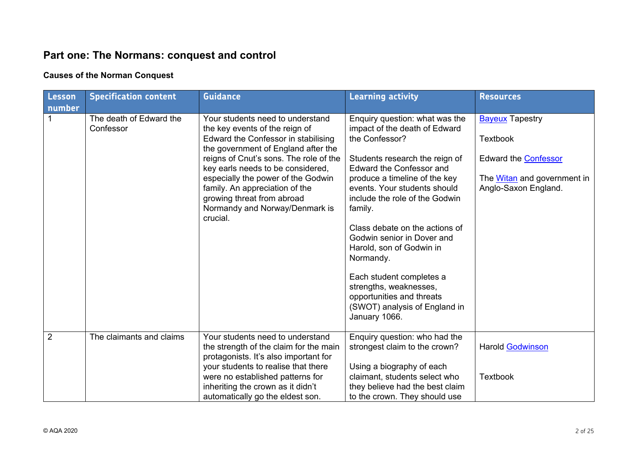# **Part one: The Normans: conquest and control**

# **Causes of the Norman Conquest**

| Lesson         | <b>Specification content</b>         | <b>Guidance</b>                                                                                                                                                                                                                                                                                                                                                                     | <b>Learning activity</b>                                                                                                                                                                                                                                                                                                                                                                                                                                                                                           | <b>Resources</b>                                                                                                                |
|----------------|--------------------------------------|-------------------------------------------------------------------------------------------------------------------------------------------------------------------------------------------------------------------------------------------------------------------------------------------------------------------------------------------------------------------------------------|--------------------------------------------------------------------------------------------------------------------------------------------------------------------------------------------------------------------------------------------------------------------------------------------------------------------------------------------------------------------------------------------------------------------------------------------------------------------------------------------------------------------|---------------------------------------------------------------------------------------------------------------------------------|
| number         | The death of Edward the<br>Confessor | Your students need to understand<br>the key events of the reign of<br>Edward the Confessor in stabilising<br>the government of England after the<br>reigns of Cnut's sons. The role of the<br>key earls needs to be considered,<br>especially the power of the Godwin<br>family. An appreciation of the<br>growing threat from abroad<br>Normandy and Norway/Denmark is<br>crucial. | Enquiry question: what was the<br>impact of the death of Edward<br>the Confessor?<br>Students research the reign of<br><b>Edward the Confessor and</b><br>produce a timeline of the key<br>events. Your students should<br>include the role of the Godwin<br>family.<br>Class debate on the actions of<br>Godwin senior in Dover and<br>Harold, son of Godwin in<br>Normandy.<br>Each student completes a<br>strengths, weaknesses,<br>opportunities and threats<br>(SWOT) analysis of England in<br>January 1066. | <b>Bayeux Tapestry</b><br><b>Textbook</b><br>Edward the <b>Confessor</b><br>The Witan and government in<br>Anglo-Saxon England. |
| $\overline{2}$ | The claimants and claims             | Your students need to understand<br>the strength of the claim for the main<br>protagonists. It's also important for<br>your students to realise that there<br>were no established patterns for<br>inheriting the crown as it didn't<br>automatically go the eldest son.                                                                                                             | Enquiry question: who had the<br>strongest claim to the crown?<br>Using a biography of each<br>claimant, students select who<br>they believe had the best claim<br>to the crown. They should use                                                                                                                                                                                                                                                                                                                   | <b>Harold Godwinson</b><br><b>Textbook</b>                                                                                      |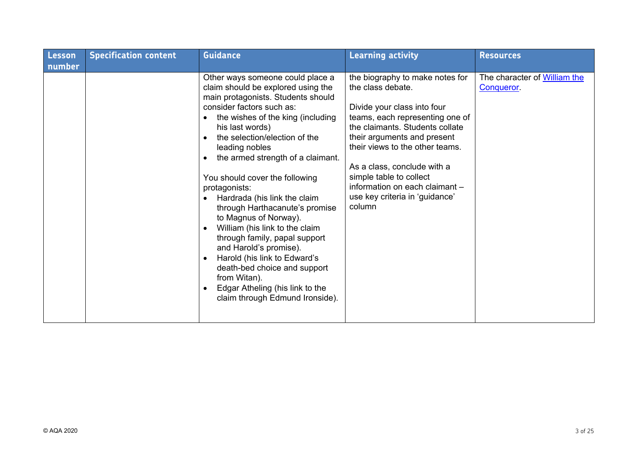| Lesson | <b>Specification content</b> | <b>Guidance</b>                                                                                                                                                                                                                                                                                                                                                                                                                                                                                                                                                                                                                                                                                         | <b>Learning activity</b>                                                                                                                                                                                                                                                                                                                                            | <b>Resources</b>                           |
|--------|------------------------------|---------------------------------------------------------------------------------------------------------------------------------------------------------------------------------------------------------------------------------------------------------------------------------------------------------------------------------------------------------------------------------------------------------------------------------------------------------------------------------------------------------------------------------------------------------------------------------------------------------------------------------------------------------------------------------------------------------|---------------------------------------------------------------------------------------------------------------------------------------------------------------------------------------------------------------------------------------------------------------------------------------------------------------------------------------------------------------------|--------------------------------------------|
| number |                              |                                                                                                                                                                                                                                                                                                                                                                                                                                                                                                                                                                                                                                                                                                         |                                                                                                                                                                                                                                                                                                                                                                     |                                            |
|        |                              | Other ways someone could place a<br>claim should be explored using the<br>main protagonists. Students should<br>consider factors such as:<br>the wishes of the king (including<br>his last words)<br>the selection/election of the<br>leading nobles<br>the armed strength of a claimant.<br>You should cover the following<br>protagonists:<br>Hardrada (his link the claim<br>$\bullet$<br>through Harthacanute's promise<br>to Magnus of Norway).<br>William (his link to the claim<br>through family, papal support<br>and Harold's promise).<br>Harold (his link to Edward's<br>death-bed choice and support<br>from Witan).<br>Edgar Atheling (his link to the<br>claim through Edmund Ironside). | the biography to make notes for<br>the class debate.<br>Divide your class into four<br>teams, each representing one of<br>the claimants. Students collate<br>their arguments and present<br>their views to the other teams.<br>As a class, conclude with a<br>simple table to collect<br>information on each claimant -<br>use key criteria in 'guidance'<br>column | The character of William the<br>Conqueror. |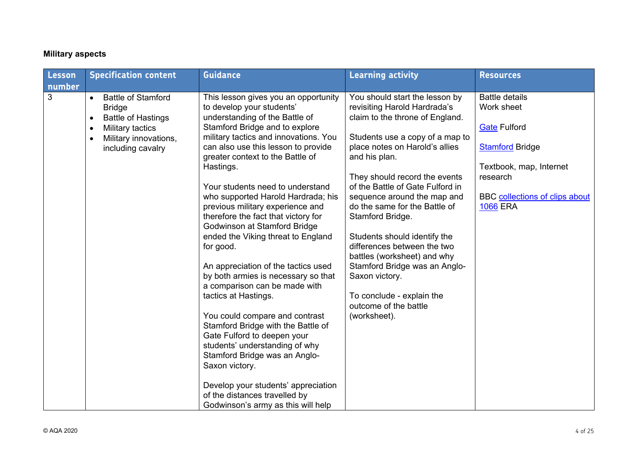#### **Military aspects**

| Lesson | <b>Specification content</b>                                                                                                                                                                  | <b>Guidance</b>                                                                                                                                                                                                                                                                                                                                                                                                                                                                                                                                                                                                                                                                                                                                                                                                                                                                                                                                                 | <b>Learning activity</b>                                                                                                                                                                                                                                                                                                                                                                                                                                                                                                                                                | <b>Resources</b>                                                                                                                                                                 |
|--------|-----------------------------------------------------------------------------------------------------------------------------------------------------------------------------------------------|-----------------------------------------------------------------------------------------------------------------------------------------------------------------------------------------------------------------------------------------------------------------------------------------------------------------------------------------------------------------------------------------------------------------------------------------------------------------------------------------------------------------------------------------------------------------------------------------------------------------------------------------------------------------------------------------------------------------------------------------------------------------------------------------------------------------------------------------------------------------------------------------------------------------------------------------------------------------|-------------------------------------------------------------------------------------------------------------------------------------------------------------------------------------------------------------------------------------------------------------------------------------------------------------------------------------------------------------------------------------------------------------------------------------------------------------------------------------------------------------------------------------------------------------------------|----------------------------------------------------------------------------------------------------------------------------------------------------------------------------------|
| number |                                                                                                                                                                                               |                                                                                                                                                                                                                                                                                                                                                                                                                                                                                                                                                                                                                                                                                                                                                                                                                                                                                                                                                                 |                                                                                                                                                                                                                                                                                                                                                                                                                                                                                                                                                                         |                                                                                                                                                                                  |
| 3      | <b>Battle of Stamford</b><br>$\bullet$<br><b>Bridge</b><br><b>Battle of Hastings</b><br>$\bullet$<br>Military tactics<br>$\bullet$<br>Military innovations,<br>$\bullet$<br>including cavalry | This lesson gives you an opportunity<br>to develop your students'<br>understanding of the Battle of<br>Stamford Bridge and to explore<br>military tactics and innovations. You<br>can also use this lesson to provide<br>greater context to the Battle of<br>Hastings.<br>Your students need to understand<br>who supported Harold Hardrada; his<br>previous military experience and<br>therefore the fact that victory for<br>Godwinson at Stamford Bridge<br>ended the Viking threat to England<br>for good.<br>An appreciation of the tactics used<br>by both armies is necessary so that<br>a comparison can be made with<br>tactics at Hastings.<br>You could compare and contrast<br>Stamford Bridge with the Battle of<br>Gate Fulford to deepen your<br>students' understanding of why<br>Stamford Bridge was an Anglo-<br>Saxon victory.<br>Develop your students' appreciation<br>of the distances travelled by<br>Godwinson's army as this will help | You should start the lesson by<br>revisiting Harold Hardrada's<br>claim to the throne of England.<br>Students use a copy of a map to<br>place notes on Harold's allies<br>and his plan.<br>They should record the events<br>of the Battle of Gate Fulford in<br>sequence around the map and<br>do the same for the Battle of<br>Stamford Bridge.<br>Students should identify the<br>differences between the two<br>battles (worksheet) and why<br>Stamford Bridge was an Anglo-<br>Saxon victory.<br>To conclude - explain the<br>outcome of the battle<br>(worksheet). | <b>Battle details</b><br>Work sheet<br><b>Gate Fulford</b><br><b>Stamford Bridge</b><br>Textbook, map, Internet<br>research<br>BBC collections of clips about<br><b>1066 ERA</b> |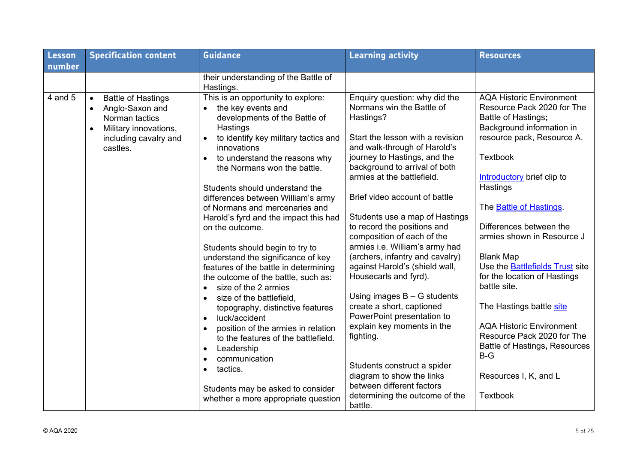| <b>Lesson</b> | <b>Specification content</b>                                                                                                                                        | <b>Guidance</b>                                                                                                                                                                                                                                                                                                                                                                                                                                                                                                                                                                                                                                                                                                                                                                                                                                                                                                                           | <b>Learning activity</b>                                                                                                                                                                                                                                                                                                                                                                                                                                                                                                                                                                                                                                                                                                                   | <b>Resources</b>                                                                                                                                                                                                                                                                                                                                                                                                                                                                                                                                                                              |
|---------------|---------------------------------------------------------------------------------------------------------------------------------------------------------------------|-------------------------------------------------------------------------------------------------------------------------------------------------------------------------------------------------------------------------------------------------------------------------------------------------------------------------------------------------------------------------------------------------------------------------------------------------------------------------------------------------------------------------------------------------------------------------------------------------------------------------------------------------------------------------------------------------------------------------------------------------------------------------------------------------------------------------------------------------------------------------------------------------------------------------------------------|--------------------------------------------------------------------------------------------------------------------------------------------------------------------------------------------------------------------------------------------------------------------------------------------------------------------------------------------------------------------------------------------------------------------------------------------------------------------------------------------------------------------------------------------------------------------------------------------------------------------------------------------------------------------------------------------------------------------------------------------|-----------------------------------------------------------------------------------------------------------------------------------------------------------------------------------------------------------------------------------------------------------------------------------------------------------------------------------------------------------------------------------------------------------------------------------------------------------------------------------------------------------------------------------------------------------------------------------------------|
| number        |                                                                                                                                                                     |                                                                                                                                                                                                                                                                                                                                                                                                                                                                                                                                                                                                                                                                                                                                                                                                                                                                                                                                           |                                                                                                                                                                                                                                                                                                                                                                                                                                                                                                                                                                                                                                                                                                                                            |                                                                                                                                                                                                                                                                                                                                                                                                                                                                                                                                                                                               |
|               |                                                                                                                                                                     | their understanding of the Battle of<br>Hastings.                                                                                                                                                                                                                                                                                                                                                                                                                                                                                                                                                                                                                                                                                                                                                                                                                                                                                         |                                                                                                                                                                                                                                                                                                                                                                                                                                                                                                                                                                                                                                                                                                                                            |                                                                                                                                                                                                                                                                                                                                                                                                                                                                                                                                                                                               |
| 4 and 5       | <b>Battle of Hastings</b><br>$\bullet$<br>Anglo-Saxon and<br>$\bullet$<br>Norman tactics<br>Military innovations,<br>$\bullet$<br>including cavalry and<br>castles. | This is an opportunity to explore:<br>the key events and<br>$\bullet$<br>developments of the Battle of<br>Hastings<br>to identify key military tactics and<br>$\bullet$<br>innovations<br>to understand the reasons why<br>$\bullet$<br>the Normans won the battle.<br>Students should understand the<br>differences between William's army<br>of Normans and mercenaries and<br>Harold's fyrd and the impact this had<br>on the outcome.<br>Students should begin to try to<br>understand the significance of key<br>features of the battle in determining<br>the outcome of the battle, such as:<br>size of the 2 armies<br>$\bullet$<br>size of the battlefield,<br>$\bullet$<br>topography, distinctive features<br>luck/accident<br>$\bullet$<br>position of the armies in relation<br>to the features of the battlefield.<br>Leadership<br>$\bullet$<br>communication<br>tactics.<br>$\bullet$<br>Students may be asked to consider | Enquiry question: why did the<br>Normans win the Battle of<br>Hastings?<br>Start the lesson with a revision<br>and walk-through of Harold's<br>journey to Hastings, and the<br>background to arrival of both<br>armies at the battlefield.<br>Brief video account of battle<br>Students use a map of Hastings<br>to record the positions and<br>composition of each of the<br>armies i.e. William's army had<br>(archers, infantry and cavalry)<br>against Harold's (shield wall,<br>Housecarls and fyrd).<br>Using images $B - G$ students<br>create a short, captioned<br>PowerPoint presentation to<br>explain key moments in the<br>fighting.<br>Students construct a spider<br>diagram to show the links<br>between different factors | <b>AQA Historic Environment</b><br>Resource Pack 2020 for The<br>Battle of Hastings;<br>Background information in<br>resource pack, Resource A.<br><b>Textbook</b><br>Introductory brief clip to<br>Hastings<br>The <b>Battle of Hastings</b> .<br>Differences between the<br>armies shown in Resource J<br><b>Blank Map</b><br>Use the <b>Battlefields Trust</b> site<br>for the location of Hastings<br>battle site.<br>The Hastings battle site<br><b>AQA Historic Environment</b><br>Resource Pack 2020 for The<br><b>Battle of Hastings, Resources</b><br>$B-G$<br>Resources I, K, and L |
|               |                                                                                                                                                                     | whether a more appropriate question                                                                                                                                                                                                                                                                                                                                                                                                                                                                                                                                                                                                                                                                                                                                                                                                                                                                                                       | determining the outcome of the<br>battle.                                                                                                                                                                                                                                                                                                                                                                                                                                                                                                                                                                                                                                                                                                  | <b>Textbook</b>                                                                                                                                                                                                                                                                                                                                                                                                                                                                                                                                                                               |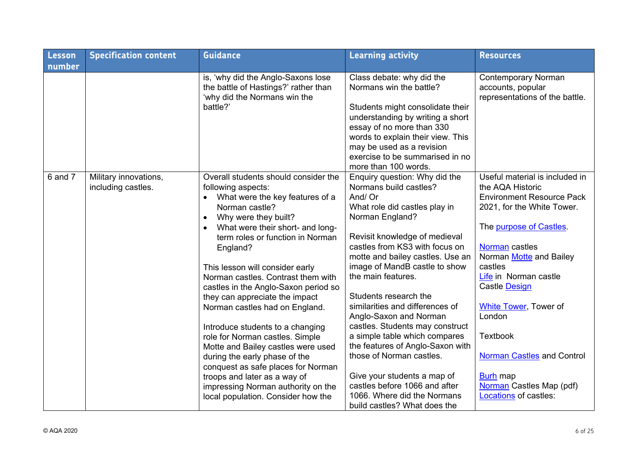| Lesson  | <b>Specification content</b>                | <b>Guidance</b>                                                                                                                                                                                                                                                                                                                                                                                                                                                                                                                                                                                                                                                                                                               | <b>Learning activity</b>                                                                                                                                                                                                                                                                                                                                                                                                                                                                                                                                                                                                                      | <b>Resources</b>                                                                                                                                                                                                                                                                                                                                                                                                                                 |
|---------|---------------------------------------------|-------------------------------------------------------------------------------------------------------------------------------------------------------------------------------------------------------------------------------------------------------------------------------------------------------------------------------------------------------------------------------------------------------------------------------------------------------------------------------------------------------------------------------------------------------------------------------------------------------------------------------------------------------------------------------------------------------------------------------|-----------------------------------------------------------------------------------------------------------------------------------------------------------------------------------------------------------------------------------------------------------------------------------------------------------------------------------------------------------------------------------------------------------------------------------------------------------------------------------------------------------------------------------------------------------------------------------------------------------------------------------------------|--------------------------------------------------------------------------------------------------------------------------------------------------------------------------------------------------------------------------------------------------------------------------------------------------------------------------------------------------------------------------------------------------------------------------------------------------|
| number  |                                             |                                                                                                                                                                                                                                                                                                                                                                                                                                                                                                                                                                                                                                                                                                                               |                                                                                                                                                                                                                                                                                                                                                                                                                                                                                                                                                                                                                                               |                                                                                                                                                                                                                                                                                                                                                                                                                                                  |
|         |                                             | is, 'why did the Anglo-Saxons lose<br>the battle of Hastings?' rather than<br>'why did the Normans win the<br>battle?'                                                                                                                                                                                                                                                                                                                                                                                                                                                                                                                                                                                                        | Class debate: why did the<br>Normans win the battle?<br>Students might consolidate their<br>understanding by writing a short<br>essay of no more than 330<br>words to explain their view. This<br>may be used as a revision<br>exercise to be summarised in no<br>more than 100 words.                                                                                                                                                                                                                                                                                                                                                        | <b>Contemporary Norman</b><br>accounts, popular<br>representations of the battle.                                                                                                                                                                                                                                                                                                                                                                |
| 6 and 7 | Military innovations,<br>including castles. | Overall students should consider the<br>following aspects:<br>What were the key features of a<br>$\bullet$<br>Norman castle?<br>Why were they built?<br>What were their short- and long-<br>term roles or function in Norman<br>England?<br>This lesson will consider early<br>Norman castles. Contrast them with<br>castles in the Anglo-Saxon period so<br>they can appreciate the impact<br>Norman castles had on England.<br>Introduce students to a changing<br>role for Norman castles. Simple<br>Motte and Bailey castles were used<br>during the early phase of the<br>conquest as safe places for Norman<br>troops and later as a way of<br>impressing Norman authority on the<br>local population. Consider how the | Enquiry question: Why did the<br>Normans build castles?<br>And/ Or<br>What role did castles play in<br>Norman England?<br>Revisit knowledge of medieval<br>castles from KS3 with focus on<br>motte and bailey castles. Use an<br>image of MandB castle to show<br>the main features.<br>Students research the<br>similarities and differences of<br>Anglo-Saxon and Norman<br>castles. Students may construct<br>a simple table which compares<br>the features of Anglo-Saxon with<br>those of Norman castles.<br>Give your students a map of<br>castles before 1066 and after<br>1066. Where did the Normans<br>build castles? What does the | Useful material is included in<br>the AQA Historic<br><b>Environment Resource Pack</b><br>2021, for the White Tower.<br>The purpose of Castles.<br>Norman castles<br>Norman Motte and Bailey<br>castles<br>Life in Norman castle<br><b>Castle Design</b><br><b>White Tower, Tower of</b><br>London<br><b>Textbook</b><br><b>Norman Castles and Control</b><br><b>Burh map</b><br><b>Norman</b> Castles Map (pdf)<br><b>Locations</b> of castles: |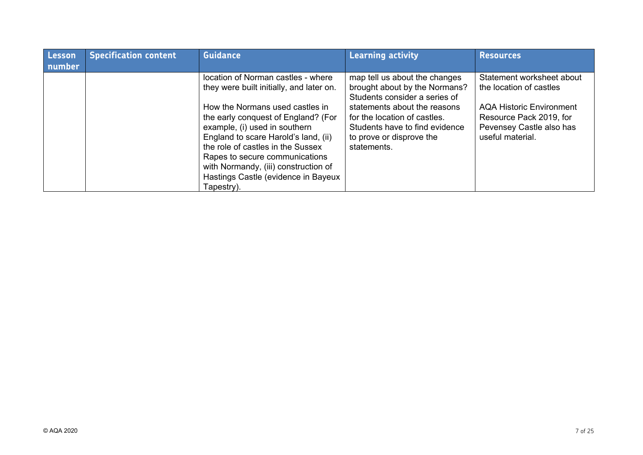| <b>Lesson</b> | <b>Specification content</b> | <b>Guidance</b>                                                                                                                                                                                                                                                                                                                                                                         | <b>Learning activity</b>                                                                                                                                                                                                                     | <b>Resources</b>                                                                                                                                                   |
|---------------|------------------------------|-----------------------------------------------------------------------------------------------------------------------------------------------------------------------------------------------------------------------------------------------------------------------------------------------------------------------------------------------------------------------------------------|----------------------------------------------------------------------------------------------------------------------------------------------------------------------------------------------------------------------------------------------|--------------------------------------------------------------------------------------------------------------------------------------------------------------------|
| number        |                              | location of Norman castles - where<br>they were built initially, and later on.<br>How the Normans used castles in<br>the early conquest of England? (For<br>example, (i) used in southern<br>England to scare Harold's land, (ii)<br>the role of castles in the Sussex<br>Rapes to secure communications<br>with Normandy, (iii) construction of<br>Hastings Castle (evidence in Bayeux | map tell us about the changes<br>brought about by the Normans?<br>Students consider a series of<br>statements about the reasons<br>for the location of castles.<br>Students have to find evidence<br>to prove or disprove the<br>statements. | Statement worksheet about<br>the location of castles<br><b>AQA Historic Environment</b><br>Resource Pack 2019, for<br>Pevensey Castle also has<br>useful material. |
|               |                              | Tapestry).                                                                                                                                                                                                                                                                                                                                                                              |                                                                                                                                                                                                                                              |                                                                                                                                                                    |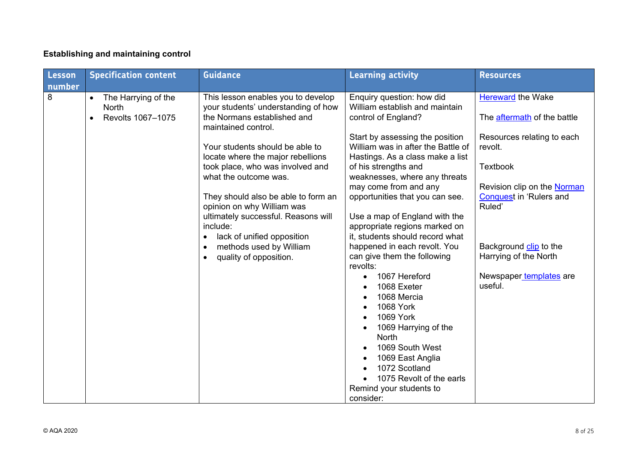#### **Establishing and maintaining control**

| Lesson      | <b>Specification content</b>                                          | <b>Guidance</b>                                                                                                                                                                                                                                                                                                                                                                                                                                                                                           | <b>Learning activity</b>                                                                                                                                                                                                                                                                                                                                                                                                                                                                                              | <b>Resources</b>                                                                                                                                                                                                                                                             |
|-------------|-----------------------------------------------------------------------|-----------------------------------------------------------------------------------------------------------------------------------------------------------------------------------------------------------------------------------------------------------------------------------------------------------------------------------------------------------------------------------------------------------------------------------------------------------------------------------------------------------|-----------------------------------------------------------------------------------------------------------------------------------------------------------------------------------------------------------------------------------------------------------------------------------------------------------------------------------------------------------------------------------------------------------------------------------------------------------------------------------------------------------------------|------------------------------------------------------------------------------------------------------------------------------------------------------------------------------------------------------------------------------------------------------------------------------|
| number<br>8 | The Harrying of the<br>$\bullet$<br><b>North</b><br>Revolts 1067-1075 | This lesson enables you to develop<br>your students' understanding of how<br>the Normans established and<br>maintained control.<br>Your students should be able to<br>locate where the major rebellions<br>took place, who was involved and<br>what the outcome was.<br>They should also be able to form an<br>opinion on why William was<br>ultimately successful. Reasons will<br>include:<br>lack of unified opposition<br>$\bullet$<br>methods used by William<br>$\bullet$<br>quality of opposition. | Enquiry question: how did<br>William establish and maintain<br>control of England?<br>Start by assessing the position<br>William was in after the Battle of<br>Hastings. As a class make a list<br>of his strengths and<br>weaknesses, where any threats<br>may come from and any<br>opportunities that you can see.<br>Use a map of England with the<br>appropriate regions marked on<br>it, students should record what<br>happened in each revolt. You<br>can give them the following<br>revolts:<br>1067 Hereford | <b>Hereward</b> the Wake<br>The aftermath of the battle<br>Resources relating to each<br>revolt.<br><b>Textbook</b><br>Revision clip on the Norman<br><b>Conquest in 'Rulers and</b><br>Ruled'<br>Background clip to the<br>Harrying of the North<br>Newspaper templates are |
|             |                                                                       |                                                                                                                                                                                                                                                                                                                                                                                                                                                                                                           | 1068 Exeter<br>1068 Mercia<br>1068 York<br>1069 York<br>1069 Harrying of the<br><b>North</b><br>1069 South West<br>1069 East Anglia<br>1072 Scotland<br>1075 Revolt of the earls<br>Remind your students to<br>consider:                                                                                                                                                                                                                                                                                              | useful.                                                                                                                                                                                                                                                                      |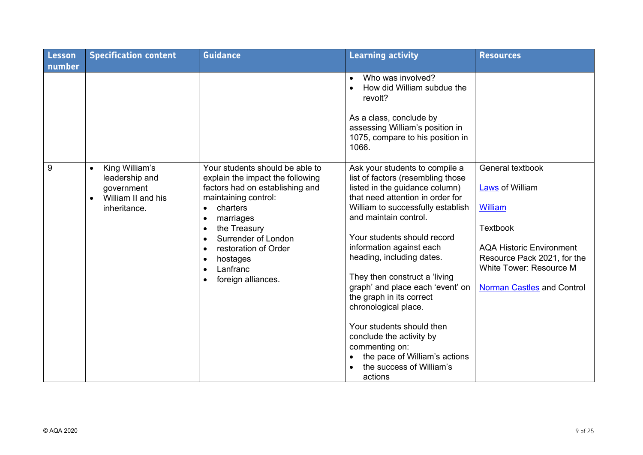| <b>Lesson</b> | <b>Specification content</b>                                                                                   | <b>Guidance</b>                                                                                                                                                                                                                                                                                                          | <b>Learning activity</b>                                                                                                                                                                                                                                                                                                                                                                                                                                                                                                                                                    | <b>Resources</b>                                                                                                                                                                                                  |
|---------------|----------------------------------------------------------------------------------------------------------------|--------------------------------------------------------------------------------------------------------------------------------------------------------------------------------------------------------------------------------------------------------------------------------------------------------------------------|-----------------------------------------------------------------------------------------------------------------------------------------------------------------------------------------------------------------------------------------------------------------------------------------------------------------------------------------------------------------------------------------------------------------------------------------------------------------------------------------------------------------------------------------------------------------------------|-------------------------------------------------------------------------------------------------------------------------------------------------------------------------------------------------------------------|
| number        |                                                                                                                |                                                                                                                                                                                                                                                                                                                          |                                                                                                                                                                                                                                                                                                                                                                                                                                                                                                                                                                             |                                                                                                                                                                                                                   |
|               |                                                                                                                |                                                                                                                                                                                                                                                                                                                          | Who was involved?<br>$\bullet$<br>How did William subdue the<br>revolt?<br>As a class, conclude by<br>assessing William's position in<br>1075, compare to his position in<br>1066.                                                                                                                                                                                                                                                                                                                                                                                          |                                                                                                                                                                                                                   |
| 9             | King William's<br>$\bullet$<br>leadership and<br>government<br>William II and his<br>$\bullet$<br>inheritance. | Your students should be able to<br>explain the impact the following<br>factors had on establishing and<br>maintaining control:<br>charters<br>$\bullet$<br>marriages<br>the Treasury<br>Surrender of London<br>$\bullet$<br>restoration of Order<br>$\bullet$<br>hostages<br>Lanfranc<br>$\bullet$<br>foreign alliances. | Ask your students to compile a<br>list of factors (resembling those<br>listed in the guidance column)<br>that need attention in order for<br>William to successfully establish<br>and maintain control.<br>Your students should record<br>information against each<br>heading, including dates.<br>They then construct a 'living<br>graph' and place each 'event' on<br>the graph in its correct<br>chronological place.<br>Your students should then<br>conclude the activity by<br>commenting on:<br>the pace of William's actions<br>the success of William's<br>actions | General textbook<br><b>Laws</b> of William<br>William<br><b>Textbook</b><br><b>AQA Historic Environment</b><br>Resource Pack 2021, for the<br><b>White Tower: Resource M</b><br><b>Norman Castles and Control</b> |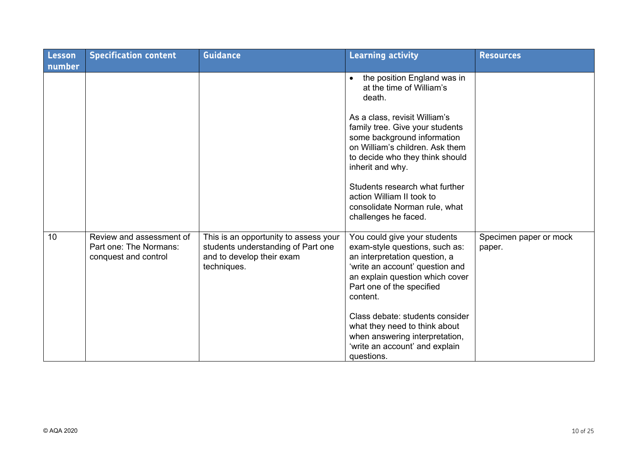| <b>Lesson</b><br>number | <b>Specification content</b>                                               | <b>Guidance</b>                                                                                                         | <b>Learning activity</b>                                                                                                                                                                                                                                       | <b>Resources</b>                 |
|-------------------------|----------------------------------------------------------------------------|-------------------------------------------------------------------------------------------------------------------------|----------------------------------------------------------------------------------------------------------------------------------------------------------------------------------------------------------------------------------------------------------------|----------------------------------|
|                         |                                                                            |                                                                                                                         | the position England was in<br>at the time of William's<br>death.<br>As a class, revisit William's<br>family tree. Give your students<br>some background information<br>on William's children. Ask them<br>to decide who they think should<br>inherit and why. |                                  |
|                         |                                                                            |                                                                                                                         | Students research what further<br>action William II took to<br>consolidate Norman rule, what<br>challenges he faced.                                                                                                                                           |                                  |
| 10                      | Review and assessment of<br>Part one: The Normans:<br>conquest and control | This is an opportunity to assess your<br>students understanding of Part one<br>and to develop their exam<br>techniques. | You could give your students<br>exam-style questions, such as:<br>an interpretation question, a<br>'write an account' question and<br>an explain question which cover<br>Part one of the specified<br>content.                                                 | Specimen paper or mock<br>paper. |
|                         |                                                                            |                                                                                                                         | Class debate: students consider<br>what they need to think about<br>when answering interpretation,<br>'write an account' and explain<br>questions.                                                                                                             |                                  |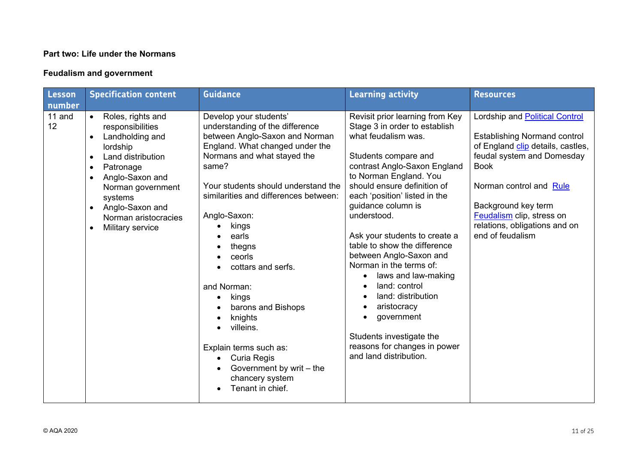#### **Part two: Life under the Normans**

#### **Feudalism and government**

| Lesson<br>number | <b>Specification content</b>                                                                                                                                                                                                                                                                           | <b>Guidance</b>                                                                                                                                                                                                                                                                                                                                                                                                                                                                                                                   | <b>Learning activity</b>                                                                                                                                                                                                                                                                                                                                                                                                                                                                                                                                                               | <b>Resources</b>                                                                                                                                                                                                                                                                            |
|------------------|--------------------------------------------------------------------------------------------------------------------------------------------------------------------------------------------------------------------------------------------------------------------------------------------------------|-----------------------------------------------------------------------------------------------------------------------------------------------------------------------------------------------------------------------------------------------------------------------------------------------------------------------------------------------------------------------------------------------------------------------------------------------------------------------------------------------------------------------------------|----------------------------------------------------------------------------------------------------------------------------------------------------------------------------------------------------------------------------------------------------------------------------------------------------------------------------------------------------------------------------------------------------------------------------------------------------------------------------------------------------------------------------------------------------------------------------------------|---------------------------------------------------------------------------------------------------------------------------------------------------------------------------------------------------------------------------------------------------------------------------------------------|
| 11 and<br>12     | Roles, rights and<br>$\bullet$<br>responsibilities<br>Landholding and<br>lordship<br>Land distribution<br>$\bullet$<br>Patronage<br>$\bullet$<br>Anglo-Saxon and<br>$\bullet$<br>Norman government<br>systems<br>Anglo-Saxon and<br>$\bullet$<br>Norman aristocracies<br>Military service<br>$\bullet$ | Develop your students'<br>understanding of the difference<br>between Anglo-Saxon and Norman<br>England. What changed under the<br>Normans and what stayed the<br>same?<br>Your students should understand the<br>similarities and differences between:<br>Anglo-Saxon:<br>kings<br>earls<br>thegns<br>ceorls<br>cottars and serfs.<br>and Norman:<br>kings<br>barons and Bishops<br>knights<br>villeins.<br>Explain terms such as:<br>Curia Regis<br>$\bullet$<br>Government by writ - the<br>chancery system<br>Tenant in chief. | Revisit prior learning from Key<br>Stage 3 in order to establish<br>what feudalism was.<br>Students compare and<br>contrast Anglo-Saxon England<br>to Norman England. You<br>should ensure definition of<br>each 'position' listed in the<br>guidance column is<br>understood.<br>Ask your students to create a<br>table to show the difference<br>between Anglo-Saxon and<br>Norman in the terms of:<br>laws and law-making<br>land: control<br>land: distribution<br>aristocracy<br>government<br>Students investigate the<br>reasons for changes in power<br>and land distribution. | Lordship and Political Control<br><b>Establishing Normand control</b><br>of England clip details, castles,<br>feudal system and Domesday<br><b>Book</b><br>Norman control and Rule<br>Background key term<br>Feudalism clip, stress on<br>relations, obligations and on<br>end of feudalism |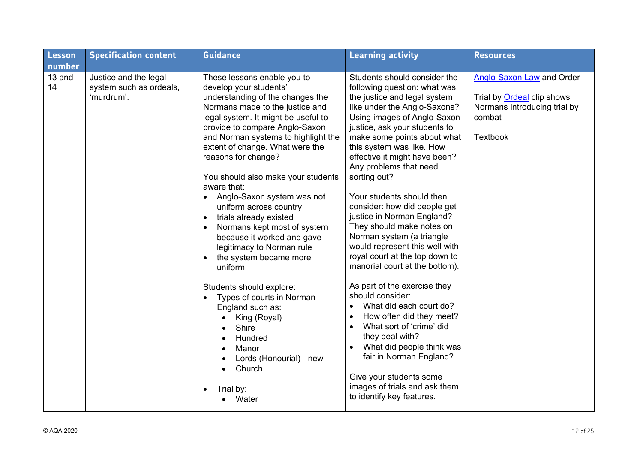| Lesson       | <b>Specification content</b>                                   | <b>Guidance</b>                                                                                                                                                                                                                                                                                                                                                                                                                                                                                                                                                                                                                                                                                                                                                                                            | <b>Learning activity</b>                                                                                                                                                                                                                                                                                                                                                                                                                                                                                                                                                                                                                                                                                                                                                                                                                                                                                                            | <b>Resources</b>                                                                                                                   |
|--------------|----------------------------------------------------------------|------------------------------------------------------------------------------------------------------------------------------------------------------------------------------------------------------------------------------------------------------------------------------------------------------------------------------------------------------------------------------------------------------------------------------------------------------------------------------------------------------------------------------------------------------------------------------------------------------------------------------------------------------------------------------------------------------------------------------------------------------------------------------------------------------------|-------------------------------------------------------------------------------------------------------------------------------------------------------------------------------------------------------------------------------------------------------------------------------------------------------------------------------------------------------------------------------------------------------------------------------------------------------------------------------------------------------------------------------------------------------------------------------------------------------------------------------------------------------------------------------------------------------------------------------------------------------------------------------------------------------------------------------------------------------------------------------------------------------------------------------------|------------------------------------------------------------------------------------------------------------------------------------|
| number       |                                                                |                                                                                                                                                                                                                                                                                                                                                                                                                                                                                                                                                                                                                                                                                                                                                                                                            |                                                                                                                                                                                                                                                                                                                                                                                                                                                                                                                                                                                                                                                                                                                                                                                                                                                                                                                                     |                                                                                                                                    |
| 13 and<br>14 | Justice and the legal<br>system such as ordeals,<br>'murdrum'. | These lessons enable you to<br>develop your students'<br>understanding of the changes the<br>Normans made to the justice and<br>legal system. It might be useful to<br>provide to compare Anglo-Saxon<br>and Norman systems to highlight the<br>extent of change. What were the<br>reasons for change?<br>You should also make your students<br>aware that:<br>Anglo-Saxon system was not<br>$\bullet$<br>uniform across country<br>trials already existed<br>Normans kept most of system<br>because it worked and gave<br>legitimacy to Norman rule<br>the system became more<br>uniform.<br>Students should explore:<br>Types of courts in Norman<br>$\bullet$<br>England such as:<br>King (Royal)<br>Shire<br>Hundred<br>Manor<br>Lords (Honourial) - new<br>Church.<br>Trial by:<br>$\bullet$<br>Water | Students should consider the<br>following question: what was<br>the justice and legal system<br>like under the Anglo-Saxons?<br>Using images of Anglo-Saxon<br>justice, ask your students to<br>make some points about what<br>this system was like. How<br>effective it might have been?<br>Any problems that need<br>sorting out?<br>Your students should then<br>consider: how did people get<br>justice in Norman England?<br>They should make notes on<br>Norman system (a triangle<br>would represent this well with<br>royal court at the top down to<br>manorial court at the bottom).<br>As part of the exercise they<br>should consider:<br>What did each court do?<br>How often did they meet?<br>$\bullet$<br>What sort of 'crime' did<br>$\bullet$<br>they deal with?<br>What did people think was<br>fair in Norman England?<br>Give your students some<br>images of trials and ask them<br>to identify key features. | <b>Anglo-Saxon Law and Order</b><br>Trial by <b>Ordeal</b> clip shows<br>Normans introducing trial by<br>combat<br><b>Textbook</b> |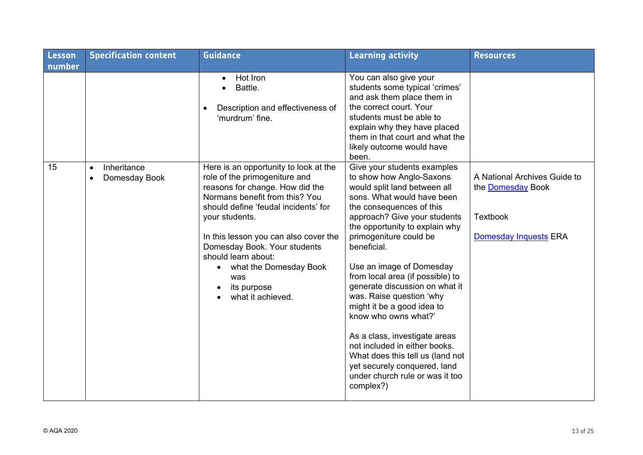| Lesson | <b>Specification content</b>                           | <b>Guidance</b>                                                                                                                                                                                                                                                                                                                                                            | <b>Learning activity</b>                                                                                                                                                                                                                                                                                                                                                                                                                                                                                                                                                                                                               | <b>Resources</b>                                                                                            |
|--------|--------------------------------------------------------|----------------------------------------------------------------------------------------------------------------------------------------------------------------------------------------------------------------------------------------------------------------------------------------------------------------------------------------------------------------------------|----------------------------------------------------------------------------------------------------------------------------------------------------------------------------------------------------------------------------------------------------------------------------------------------------------------------------------------------------------------------------------------------------------------------------------------------------------------------------------------------------------------------------------------------------------------------------------------------------------------------------------------|-------------------------------------------------------------------------------------------------------------|
| number |                                                        |                                                                                                                                                                                                                                                                                                                                                                            |                                                                                                                                                                                                                                                                                                                                                                                                                                                                                                                                                                                                                                        |                                                                                                             |
|        |                                                        | Hot Iron<br>$\bullet$<br>Battle.<br>Description and effectiveness of<br>'murdrum' fine.                                                                                                                                                                                                                                                                                    | You can also give your<br>students some typical 'crimes'<br>and ask them place them in<br>the correct court. Your<br>students must be able to<br>explain why they have placed<br>them in that court and what the<br>likely outcome would have<br>been.                                                                                                                                                                                                                                                                                                                                                                                 |                                                                                                             |
| 15     | Inheritance<br>$\bullet$<br>Domesday Book<br>$\bullet$ | Here is an opportunity to look at the<br>role of the primogeniture and<br>reasons for change. How did the<br>Normans benefit from this? You<br>should define 'feudal incidents' for<br>your students.<br>In this lesson you can also cover the<br>Domesday Book. Your students<br>should learn about:<br>what the Domesday Book<br>was<br>its purpose<br>what it achieved. | Give your students examples<br>to show how Anglo-Saxons<br>would split land between all<br>sons. What would have been<br>the consequences of this<br>approach? Give your students<br>the opportunity to explain why<br>primogeniture could be<br>beneficial.<br>Use an image of Domesday<br>from local area (if possible) to<br>generate discussion on what it<br>was. Raise question 'why<br>might it be a good idea to<br>know who owns what?'<br>As a class, investigate areas<br>not included in either books.<br>What does this tell us (land not<br>yet securely conquered, land<br>under church rule or was it too<br>complex?) | A National Archives Guide to<br>the <b>Domesday</b> Book<br><b>Textbook</b><br><b>Domesday Inquests ERA</b> |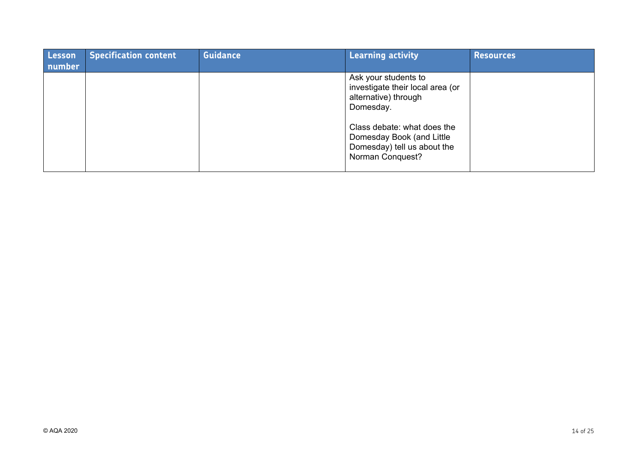| Lesson<br>number | <b>Specification content</b> | <b>Guidance</b> | <b>Learning activity</b>                                                                                                                                                                                            | <b>Resources</b> |
|------------------|------------------------------|-----------------|---------------------------------------------------------------------------------------------------------------------------------------------------------------------------------------------------------------------|------------------|
|                  |                              |                 | Ask your students to<br>investigate their local area (or<br>alternative) through<br>Domesday.<br>Class debate: what does the<br>Domesday Book (and Little<br>Domesday) tell us about the<br><b>Norman Conquest?</b> |                  |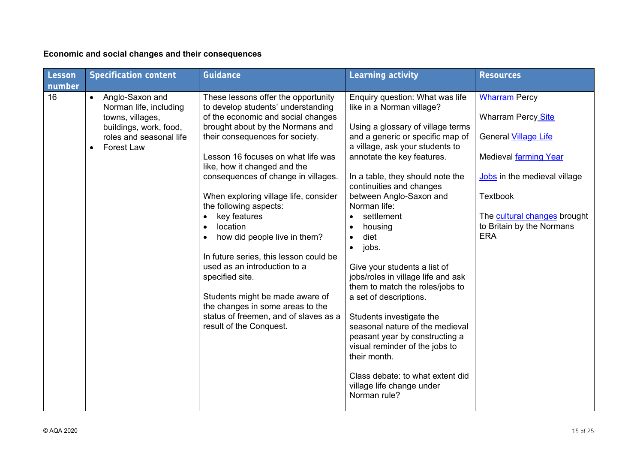# **Economic and social changes and their consequences**

| Lesson<br>number | <b>Specification content</b>                                                                                                                         | <b>Guidance</b>                                                                                                                                                                                                                                                                                                                                                                                                                                                                                                                                                                                                                                                            | <b>Learning activity</b>                                                                                                                                                                                                                                                                                                                                                                                                                                                                                                                                                                                                                                                                                                                                                               | <b>Resources</b>                                                                                                                                                                                                                 |
|------------------|------------------------------------------------------------------------------------------------------------------------------------------------------|----------------------------------------------------------------------------------------------------------------------------------------------------------------------------------------------------------------------------------------------------------------------------------------------------------------------------------------------------------------------------------------------------------------------------------------------------------------------------------------------------------------------------------------------------------------------------------------------------------------------------------------------------------------------------|----------------------------------------------------------------------------------------------------------------------------------------------------------------------------------------------------------------------------------------------------------------------------------------------------------------------------------------------------------------------------------------------------------------------------------------------------------------------------------------------------------------------------------------------------------------------------------------------------------------------------------------------------------------------------------------------------------------------------------------------------------------------------------------|----------------------------------------------------------------------------------------------------------------------------------------------------------------------------------------------------------------------------------|
| 16               | Anglo-Saxon and<br>$\bullet$<br>Norman life, including<br>towns, villages,<br>buildings, work, food,<br>roles and seasonal life<br><b>Forest Law</b> | These lessons offer the opportunity<br>to develop students' understanding<br>of the economic and social changes<br>brought about by the Normans and<br>their consequences for society.<br>Lesson 16 focuses on what life was<br>like, how it changed and the<br>consequences of change in villages.<br>When exploring village life, consider<br>the following aspects:<br>key features<br>location<br>how did people live in them?<br>In future series, this lesson could be<br>used as an introduction to a<br>specified site.<br>Students might be made aware of<br>the changes in some areas to the<br>status of freemen, and of slaves as a<br>result of the Conquest. | Enquiry question: What was life<br>like in a Norman village?<br>Using a glossary of village terms<br>and a generic or specific map of<br>a village, ask your students to<br>annotate the key features.<br>In a table, they should note the<br>continuities and changes<br>between Anglo-Saxon and<br>Norman life:<br>settlement<br>$\bullet$<br>housing<br>$\bullet$<br>diet<br>$\bullet$<br>jobs.<br>$\bullet$<br>Give your students a list of<br>jobs/roles in village life and ask<br>them to match the roles/jobs to<br>a set of descriptions.<br>Students investigate the<br>seasonal nature of the medieval<br>peasant year by constructing a<br>visual reminder of the jobs to<br>their month.<br>Class debate: to what extent did<br>village life change under<br>Norman rule? | <b>Wharram Percy</b><br><b>Wharram Percy Site</b><br>General Village Life<br>Medieval farming Year<br>Jobs in the medieval village<br><b>Textbook</b><br>The cultural changes brought<br>to Britain by the Normans<br><b>ERA</b> |
|                  |                                                                                                                                                      |                                                                                                                                                                                                                                                                                                                                                                                                                                                                                                                                                                                                                                                                            |                                                                                                                                                                                                                                                                                                                                                                                                                                                                                                                                                                                                                                                                                                                                                                                        |                                                                                                                                                                                                                                  |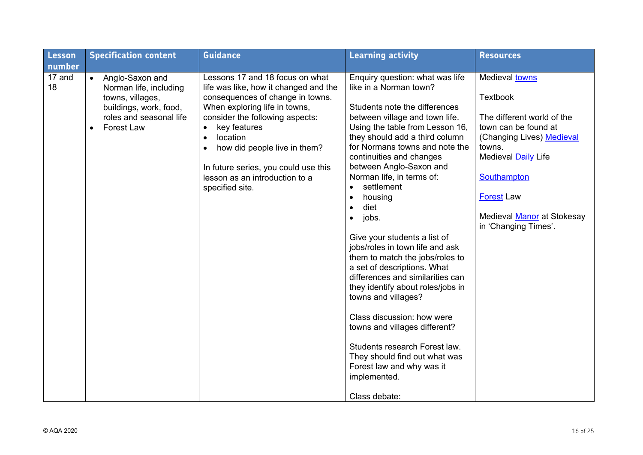| Lesson       | <b>Specification content</b>                                                                                                                                      | <b>Guidance</b>                                                                                                                                                                                                                                                                                                                                        | <b>Learning activity</b>                                                                                                                                                                                                                                                                                                                                                                                                                                                                                                                                                                                                                                                                                                                                                                                                                     | <b>Resources</b>                                                                                                                                                                                                                                       |
|--------------|-------------------------------------------------------------------------------------------------------------------------------------------------------------------|--------------------------------------------------------------------------------------------------------------------------------------------------------------------------------------------------------------------------------------------------------------------------------------------------------------------------------------------------------|----------------------------------------------------------------------------------------------------------------------------------------------------------------------------------------------------------------------------------------------------------------------------------------------------------------------------------------------------------------------------------------------------------------------------------------------------------------------------------------------------------------------------------------------------------------------------------------------------------------------------------------------------------------------------------------------------------------------------------------------------------------------------------------------------------------------------------------------|--------------------------------------------------------------------------------------------------------------------------------------------------------------------------------------------------------------------------------------------------------|
| number       |                                                                                                                                                                   |                                                                                                                                                                                                                                                                                                                                                        |                                                                                                                                                                                                                                                                                                                                                                                                                                                                                                                                                                                                                                                                                                                                                                                                                                              |                                                                                                                                                                                                                                                        |
| 17 and<br>18 | Anglo-Saxon and<br>$\bullet$<br>Norman life, including<br>towns, villages,<br>buildings, work, food,<br>roles and seasonal life<br><b>Forest Law</b><br>$\bullet$ | Lessons 17 and 18 focus on what<br>life was like, how it changed and the<br>consequences of change in towns.<br>When exploring life in towns,<br>consider the following aspects:<br>key features<br>$\bullet$<br>location<br>how did people live in them?<br>In future series, you could use this<br>lesson as an introduction to a<br>specified site. | Enquiry question: what was life<br>like in a Norman town?<br>Students note the differences<br>between village and town life.<br>Using the table from Lesson 16,<br>they should add a third column<br>for Normans towns and note the<br>continuities and changes<br>between Anglo-Saxon and<br>Norman life, in terms of:<br>settlement<br>housing<br>$\bullet$<br>diet<br>$\bullet$<br>jobs.<br>$\bullet$<br>Give your students a list of<br>jobs/roles in town life and ask<br>them to match the jobs/roles to<br>a set of descriptions. What<br>differences and similarities can<br>they identify about roles/jobs in<br>towns and villages?<br>Class discussion: how were<br>towns and villages different?<br>Students research Forest law.<br>They should find out what was<br>Forest law and why was it<br>implemented.<br>Class debate: | Medieval towns<br><b>Textbook</b><br>The different world of the<br>town can be found at<br>(Changing Lives) Medieval<br>towns.<br><b>Medieval Daily Life</b><br>Southampton<br><b>Forest</b> Law<br>Medieval Manor at Stokesay<br>in 'Changing Times'. |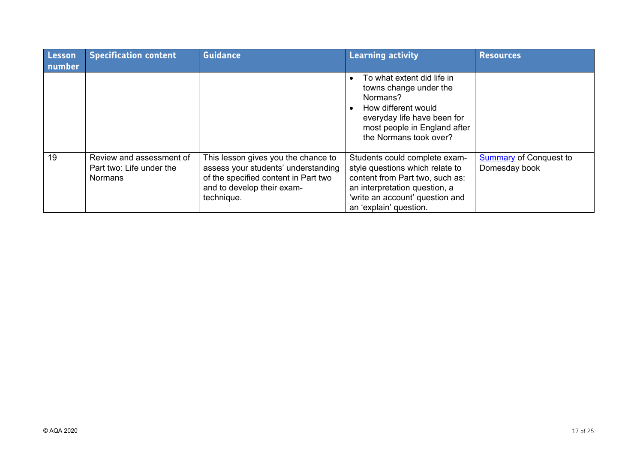| Lesson<br>number | <b>Specification content</b>                                           | <b>Guidance</b>                                                                                                                                                | <b>Learning activity</b>                                                                                                                                                                          | <b>Resources</b>                               |
|------------------|------------------------------------------------------------------------|----------------------------------------------------------------------------------------------------------------------------------------------------------------|---------------------------------------------------------------------------------------------------------------------------------------------------------------------------------------------------|------------------------------------------------|
|                  |                                                                        |                                                                                                                                                                | To what extent did life in<br>towns change under the<br>Normans?<br>How different would<br>everyday life have been for<br>most people in England after<br>the Normans took over?                  |                                                |
| 19               | Review and assessment of<br>Part two: Life under the<br><b>Normans</b> | This lesson gives you the chance to<br>assess your students' understanding<br>of the specified content in Part two<br>and to develop their exam-<br>technique. | Students could complete exam-<br>style questions which relate to<br>content from Part two, such as:<br>an interpretation question, a<br>'write an account' question and<br>an 'explain' question. | <b>Summary of Conquest to</b><br>Domesday book |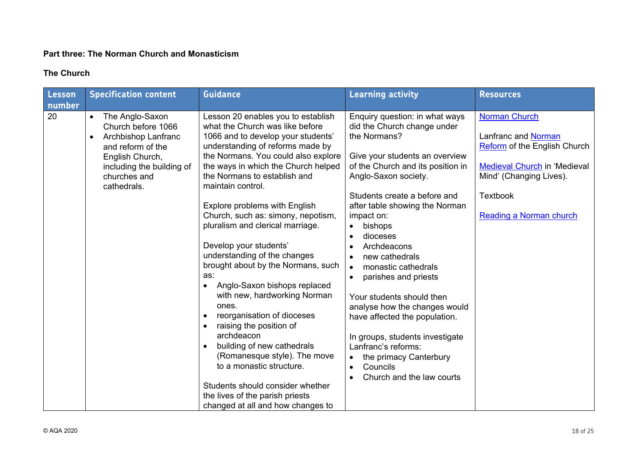#### **Part three: The Norman Church and Monasticism**

# **The Church**

| Lesson       | <b>Specification content</b>                                                                                                                                                               | <b>Guidance</b>                                                                                                                                                                                                                                                                                                                                                                                                                                                                                                                                                                                                                                                                                                                                                          | <b>Learning activity</b>                                                                                                                                                                                                                                                                                                                                                                                                                                                                                                                                                        | <b>Resources</b>                                                                                                                                                                            |
|--------------|--------------------------------------------------------------------------------------------------------------------------------------------------------------------------------------------|--------------------------------------------------------------------------------------------------------------------------------------------------------------------------------------------------------------------------------------------------------------------------------------------------------------------------------------------------------------------------------------------------------------------------------------------------------------------------------------------------------------------------------------------------------------------------------------------------------------------------------------------------------------------------------------------------------------------------------------------------------------------------|---------------------------------------------------------------------------------------------------------------------------------------------------------------------------------------------------------------------------------------------------------------------------------------------------------------------------------------------------------------------------------------------------------------------------------------------------------------------------------------------------------------------------------------------------------------------------------|---------------------------------------------------------------------------------------------------------------------------------------------------------------------------------------------|
| number<br>20 | The Anglo-Saxon<br>$\bullet$<br>Church before 1066<br>Archbishop Lanfranc<br>$\bullet$<br>and reform of the<br>English Church,<br>including the building of<br>churches and<br>cathedrals. | Lesson 20 enables you to establish<br>what the Church was like before<br>1066 and to develop your students'<br>understanding of reforms made by<br>the Normans. You could also explore<br>the ways in which the Church helped<br>the Normans to establish and<br>maintain control.<br>Explore problems with English<br>Church, such as: simony, nepotism,<br>pluralism and clerical marriage.<br>Develop your students'<br>understanding of the changes<br>brought about by the Normans, such<br>as:<br>Anglo-Saxon bishops replaced<br>$\bullet$<br>with new, hardworking Norman<br>ones.<br>reorganisation of dioceses<br>raising the position of<br>$\bullet$<br>archdeacon<br>building of new cathedrals<br>(Romanesque style). The move<br>to a monastic structure. | Enquiry question: in what ways<br>did the Church change under<br>the Normans?<br>Give your students an overview<br>of the Church and its position in<br>Anglo-Saxon society.<br>Students create a before and<br>after table showing the Norman<br>impact on:<br>bishops<br>dioceses<br>Archdeacons<br>new cathedrals<br>monastic cathedrals<br>$\bullet$<br>parishes and priests<br>Your students should then<br>analyse how the changes would<br>have affected the population.<br>In groups, students investigate<br>Lanfranc's reforms:<br>the primacy Canterbury<br>Councils | <b>Norman Church</b><br>Lanfranc and Norman<br>Reform of the English Church<br><b>Medieval Church in 'Medieval</b><br>Mind' (Changing Lives).<br><b>Textbook</b><br>Reading a Norman church |
|              |                                                                                                                                                                                            | Students should consider whether<br>the lives of the parish priests<br>changed at all and how changes to                                                                                                                                                                                                                                                                                                                                                                                                                                                                                                                                                                                                                                                                 | Church and the law courts                                                                                                                                                                                                                                                                                                                                                                                                                                                                                                                                                       |                                                                                                                                                                                             |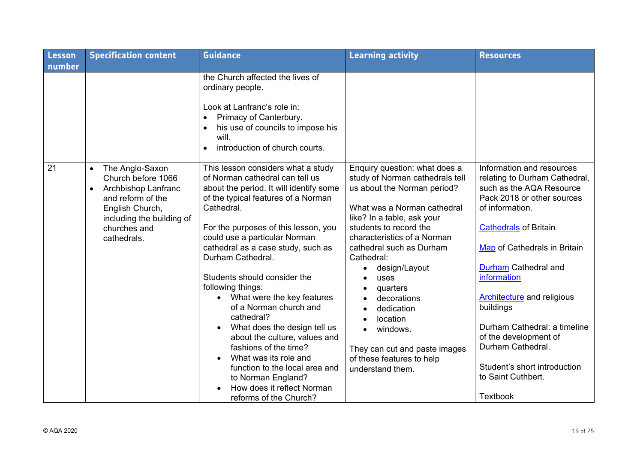| <b>Lesson</b> | <b>Specification content</b>                                                                                                                                                               | <b>Guidance</b>                                                                                                                                                                                                                                                                                                                                                                                                                                                                                                                                                                                                                                                           | <b>Learning activity</b>                                                                                                                                                                                                                                                                                                                                                                                                                    | <b>Resources</b>                                                                                                                                                                                                                                                                                                                                                                                                                                        |
|---------------|--------------------------------------------------------------------------------------------------------------------------------------------------------------------------------------------|---------------------------------------------------------------------------------------------------------------------------------------------------------------------------------------------------------------------------------------------------------------------------------------------------------------------------------------------------------------------------------------------------------------------------------------------------------------------------------------------------------------------------------------------------------------------------------------------------------------------------------------------------------------------------|---------------------------------------------------------------------------------------------------------------------------------------------------------------------------------------------------------------------------------------------------------------------------------------------------------------------------------------------------------------------------------------------------------------------------------------------|---------------------------------------------------------------------------------------------------------------------------------------------------------------------------------------------------------------------------------------------------------------------------------------------------------------------------------------------------------------------------------------------------------------------------------------------------------|
| number        |                                                                                                                                                                                            |                                                                                                                                                                                                                                                                                                                                                                                                                                                                                                                                                                                                                                                                           |                                                                                                                                                                                                                                                                                                                                                                                                                                             |                                                                                                                                                                                                                                                                                                                                                                                                                                                         |
|               |                                                                                                                                                                                            | the Church affected the lives of<br>ordinary people.<br>Look at Lanfranc's role in:<br>Primacy of Canterbury.<br>$\bullet$<br>his use of councils to impose his<br>will.<br>introduction of church courts.<br>$\bullet$                                                                                                                                                                                                                                                                                                                                                                                                                                                   |                                                                                                                                                                                                                                                                                                                                                                                                                                             |                                                                                                                                                                                                                                                                                                                                                                                                                                                         |
| 21            | The Anglo-Saxon<br>$\bullet$<br>Church before 1066<br>Archbishop Lanfranc<br>$\bullet$<br>and reform of the<br>English Church,<br>including the building of<br>churches and<br>cathedrals. | This lesson considers what a study<br>of Norman cathedral can tell us<br>about the period. It will identify some<br>of the typical features of a Norman<br>Cathedral.<br>For the purposes of this lesson, you<br>could use a particular Norman<br>cathedral as a case study, such as<br>Durham Cathedral.<br>Students should consider the<br>following things:<br>• What were the key features<br>of a Norman church and<br>cathedral?<br>What does the design tell us<br>about the culture, values and<br>fashions of the time?<br>What was its role and<br>function to the local area and<br>to Norman England?<br>How does it reflect Norman<br>reforms of the Church? | Enquiry question: what does a<br>study of Norman cathedrals tell<br>us about the Norman period?<br>What was a Norman cathedral<br>like? In a table, ask your<br>students to record the<br>characteristics of a Norman<br>cathedral such as Durham<br>Cathedral:<br>design/Layout<br>uses<br>quarters<br>decorations<br>dedication<br>location<br>windows.<br>They can cut and paste images<br>of these features to help<br>understand them. | Information and resources<br>relating to Durham Cathedral,<br>such as the AQA Resource<br>Pack 2018 or other sources<br>of information.<br><b>Cathedrals of Britain</b><br>Map of Cathedrals in Britain<br>Durham Cathedral and<br>information<br><b>Architecture</b> and religious<br>buildings<br>Durham Cathedral: a timeline<br>of the development of<br>Durham Cathedral.<br>Student's short introduction<br>to Saint Cuthbert.<br><b>Textbook</b> |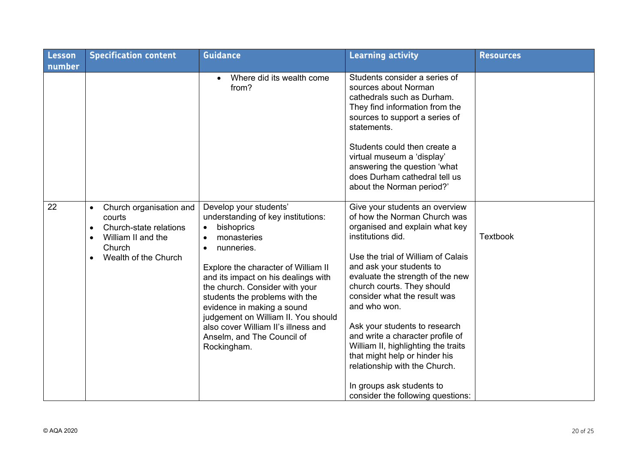| <b>Lesson</b> | <b>Specification content</b>                                                                                                                                            | <b>Guidance</b>                                                                                                                                                                                                                                                                                                                                                                                                    | <b>Learning activity</b>                                                                                                                                                                                                                                                                                                                                                                                                                                                                                                                                  | <b>Resources</b> |
|---------------|-------------------------------------------------------------------------------------------------------------------------------------------------------------------------|--------------------------------------------------------------------------------------------------------------------------------------------------------------------------------------------------------------------------------------------------------------------------------------------------------------------------------------------------------------------------------------------------------------------|-----------------------------------------------------------------------------------------------------------------------------------------------------------------------------------------------------------------------------------------------------------------------------------------------------------------------------------------------------------------------------------------------------------------------------------------------------------------------------------------------------------------------------------------------------------|------------------|
| number        |                                                                                                                                                                         |                                                                                                                                                                                                                                                                                                                                                                                                                    |                                                                                                                                                                                                                                                                                                                                                                                                                                                                                                                                                           |                  |
|               |                                                                                                                                                                         | Where did its wealth come<br>$\bullet$<br>from?                                                                                                                                                                                                                                                                                                                                                                    | Students consider a series of<br>sources about Norman<br>cathedrals such as Durham.<br>They find information from the<br>sources to support a series of<br>statements.<br>Students could then create a<br>virtual museum a 'display'<br>answering the question 'what<br>does Durham cathedral tell us<br>about the Norman period?'                                                                                                                                                                                                                        |                  |
| 22            | Church organisation and<br>$\bullet$<br>courts<br>Church-state relations<br>$\bullet$<br>William II and the<br>$\bullet$<br>Church<br>Wealth of the Church<br>$\bullet$ | Develop your students'<br>understanding of key institutions:<br>bishoprics<br>monasteries<br>nunneries.<br>Explore the character of William II<br>and its impact on his dealings with<br>the church. Consider with your<br>students the problems with the<br>evidence in making a sound<br>judgement on William II. You should<br>also cover William II's illness and<br>Anselm, and The Council of<br>Rockingham. | Give your students an overview<br>of how the Norman Church was<br>organised and explain what key<br>institutions did.<br>Use the trial of William of Calais<br>and ask your students to<br>evaluate the strength of the new<br>church courts. They should<br>consider what the result was<br>and who won.<br>Ask your students to research<br>and write a character profile of<br>William II, highlighting the traits<br>that might help or hinder his<br>relationship with the Church.<br>In groups ask students to<br>consider the following questions: | <b>Textbook</b>  |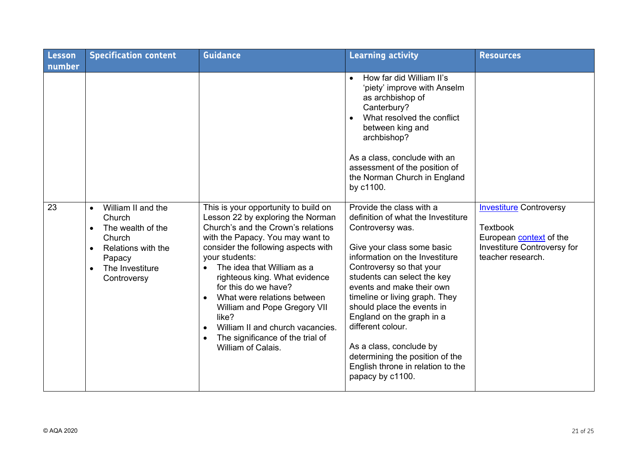| <b>Lesson</b><br>number | <b>Specification content</b>                                                                                                                                         | <b>Guidance</b>                                                                                                                                                                                                                                                                                                                                                                                                                                                           | <b>Learning activity</b>                                                                                                                                                                                                                                                                                                                                                                                                                                                            | <b>Resources</b>                                                                                                                        |
|-------------------------|----------------------------------------------------------------------------------------------------------------------------------------------------------------------|---------------------------------------------------------------------------------------------------------------------------------------------------------------------------------------------------------------------------------------------------------------------------------------------------------------------------------------------------------------------------------------------------------------------------------------------------------------------------|-------------------------------------------------------------------------------------------------------------------------------------------------------------------------------------------------------------------------------------------------------------------------------------------------------------------------------------------------------------------------------------------------------------------------------------------------------------------------------------|-----------------------------------------------------------------------------------------------------------------------------------------|
|                         |                                                                                                                                                                      |                                                                                                                                                                                                                                                                                                                                                                                                                                                                           | How far did William II's<br>$\bullet$<br>'piety' improve with Anselm<br>as archbishop of<br>Canterbury?<br>What resolved the conflict<br>$\bullet$<br>between king and<br>archbishop?<br>As a class, conclude with an<br>assessment of the position of<br>the Norman Church in England<br>by c1100.                                                                                                                                                                                 |                                                                                                                                         |
| 23                      | William II and the<br>$\bullet$<br>Church<br>The wealth of the<br>$\bullet$<br>Church<br>Relations with the<br>$\bullet$<br>Papacy<br>The Investiture<br>Controversy | This is your opportunity to build on<br>Lesson 22 by exploring the Norman<br>Church's and the Crown's relations<br>with the Papacy. You may want to<br>consider the following aspects with<br>your students:<br>The idea that William as a<br>righteous king. What evidence<br>for this do we have?<br>What were relations between<br>William and Pope Gregory VII<br>like?<br>William II and church vacancies.<br>The significance of the trial of<br>William of Calais. | Provide the class with a<br>definition of what the Investiture<br>Controversy was.<br>Give your class some basic<br>information on the Investiture<br>Controversy so that your<br>students can select the key<br>events and make their own<br>timeline or living graph. They<br>should place the events in<br>England on the graph in a<br>different colour.<br>As a class, conclude by<br>determining the position of the<br>English throne in relation to the<br>papacy by c1100. | <b>Investiture Controversy</b><br><b>Textbook</b><br>European <b>context</b> of the<br>Investiture Controversy for<br>teacher research. |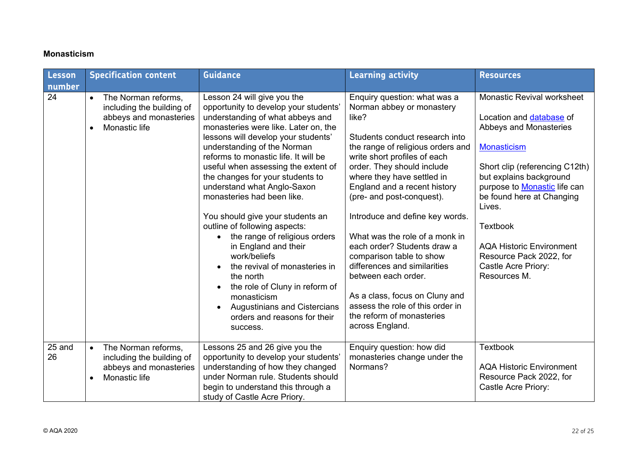#### **Monasticism**

| Lesson<br>number | <b>Specification content</b>                                                                                          | <b>Guidance</b>                                                                                                                                                                                                                                                                                                                                                                                                                                                                                                                                                                                                                                                                                                                                     | <b>Learning activity</b>                                                                                                                                                                                                                                                                                                                                                                                                                                                                                                                                                                                        | <b>Resources</b>                                                                                                                                                                                                                                                                                                                                                          |
|------------------|-----------------------------------------------------------------------------------------------------------------------|-----------------------------------------------------------------------------------------------------------------------------------------------------------------------------------------------------------------------------------------------------------------------------------------------------------------------------------------------------------------------------------------------------------------------------------------------------------------------------------------------------------------------------------------------------------------------------------------------------------------------------------------------------------------------------------------------------------------------------------------------------|-----------------------------------------------------------------------------------------------------------------------------------------------------------------------------------------------------------------------------------------------------------------------------------------------------------------------------------------------------------------------------------------------------------------------------------------------------------------------------------------------------------------------------------------------------------------------------------------------------------------|---------------------------------------------------------------------------------------------------------------------------------------------------------------------------------------------------------------------------------------------------------------------------------------------------------------------------------------------------------------------------|
| 24               | The Norman reforms,<br>$\bullet$<br>including the building of<br>abbeys and monasteries<br>Monastic life<br>$\bullet$ | Lesson 24 will give you the<br>opportunity to develop your students'<br>understanding of what abbeys and<br>monasteries were like. Later on, the<br>lessons will develop your students'<br>understanding of the Norman<br>reforms to monastic life. It will be<br>useful when assessing the extent of<br>the changes for your students to<br>understand what Anglo-Saxon<br>monasteries had been like.<br>You should give your students an<br>outline of following aspects:<br>the range of religious orders<br>in England and their<br>work/beliefs<br>the revival of monasteries in<br>the north<br>the role of Cluny in reform of<br>monasticism<br><b>Augustinians and Cistercians</b><br>$\bullet$<br>orders and reasons for their<br>success. | Enquiry question: what was a<br>Norman abbey or monastery<br>like?<br>Students conduct research into<br>the range of religious orders and<br>write short profiles of each<br>order. They should include<br>where they have settled in<br>England and a recent history<br>(pre- and post-conquest).<br>Introduce and define key words.<br>What was the role of a monk in<br>each order? Students draw a<br>comparison table to show<br>differences and similarities<br>between each order.<br>As a class, focus on Cluny and<br>assess the role of this order in<br>the reform of monasteries<br>across England. | <b>Monastic Revival worksheet</b><br>Location and database of<br>Abbeys and Monasteries<br>Monasticism<br>Short clip (referencing C12th)<br>but explains background<br>purpose to <b>Monastic</b> life can<br>be found here at Changing<br>Lives.<br><b>Textbook</b><br><b>AQA Historic Environment</b><br>Resource Pack 2022, for<br>Castle Acre Priory:<br>Resources M. |
| 25 and<br>26     | The Norman reforms,<br>$\bullet$<br>including the building of<br>abbeys and monasteries<br>Monastic life<br>$\bullet$ | Lessons 25 and 26 give you the<br>opportunity to develop your students'<br>understanding of how they changed<br>under Norman rule. Students should<br>begin to understand this through a<br>study of Castle Acre Priory.                                                                                                                                                                                                                                                                                                                                                                                                                                                                                                                            | Enquiry question: how did<br>monasteries change under the<br>Normans?                                                                                                                                                                                                                                                                                                                                                                                                                                                                                                                                           | <b>Textbook</b><br><b>AQA Historic Environment</b><br>Resource Pack 2022, for<br>Castle Acre Priory:                                                                                                                                                                                                                                                                      |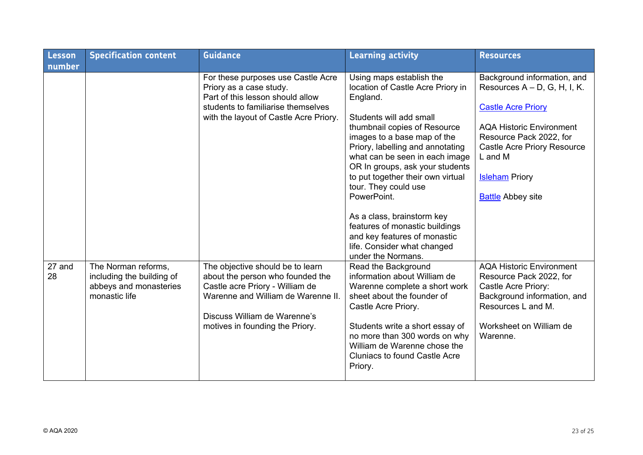| Lesson       | <b>Specification content</b>                                                                | <b>Guidance</b>                                                                                                                                                                                                  | <b>Learning activity</b>                                                                                                                                                                                                                                                                                                                                                                                                                                 | <b>Resources</b>                                                                                                                                                                                                                                                |
|--------------|---------------------------------------------------------------------------------------------|------------------------------------------------------------------------------------------------------------------------------------------------------------------------------------------------------------------|----------------------------------------------------------------------------------------------------------------------------------------------------------------------------------------------------------------------------------------------------------------------------------------------------------------------------------------------------------------------------------------------------------------------------------------------------------|-----------------------------------------------------------------------------------------------------------------------------------------------------------------------------------------------------------------------------------------------------------------|
| number       |                                                                                             |                                                                                                                                                                                                                  |                                                                                                                                                                                                                                                                                                                                                                                                                                                          |                                                                                                                                                                                                                                                                 |
|              |                                                                                             | For these purposes use Castle Acre<br>Priory as a case study.<br>Part of this lesson should allow<br>students to familiarise themselves<br>with the layout of Castle Acre Priory.                                | Using maps establish the<br>location of Castle Acre Priory in<br>England.<br>Students will add small<br>thumbnail copies of Resource<br>images to a base map of the<br>Priory, labelling and annotating<br>what can be seen in each image<br>OR In groups, ask your students<br>to put together their own virtual<br>tour. They could use<br>PowerPoint.<br>As a class, brainstorm key<br>features of monastic buildings<br>and key features of monastic | Background information, and<br>Resources $A - D$ , G, H, I, K.<br><b>Castle Acre Priory</b><br><b>AQA Historic Environment</b><br>Resource Pack 2022, for<br><b>Castle Acre Priory Resource</b><br>L and M<br><b>Isleham</b> Priory<br><b>Battle Abbey site</b> |
|              |                                                                                             |                                                                                                                                                                                                                  | life. Consider what changed<br>under the Normans.                                                                                                                                                                                                                                                                                                                                                                                                        |                                                                                                                                                                                                                                                                 |
| 27 and<br>28 | The Norman reforms,<br>including the building of<br>abbeys and monasteries<br>monastic life | The objective should be to learn<br>about the person who founded the<br>Castle acre Priory - William de<br>Warenne and William de Warenne II.<br>Discuss William de Warenne's<br>motives in founding the Priory. | Read the Background<br>information about William de<br>Warenne complete a short work<br>sheet about the founder of<br>Castle Acre Priory.<br>Students write a short essay of<br>no more than 300 words on why<br>William de Warenne chose the<br><b>Cluniacs to found Castle Acre</b><br>Priory.                                                                                                                                                         | <b>AQA Historic Environment</b><br>Resource Pack 2022, for<br>Castle Acre Priory:<br>Background information, and<br>Resources L and M.<br>Worksheet on William de<br>Warenne.                                                                                   |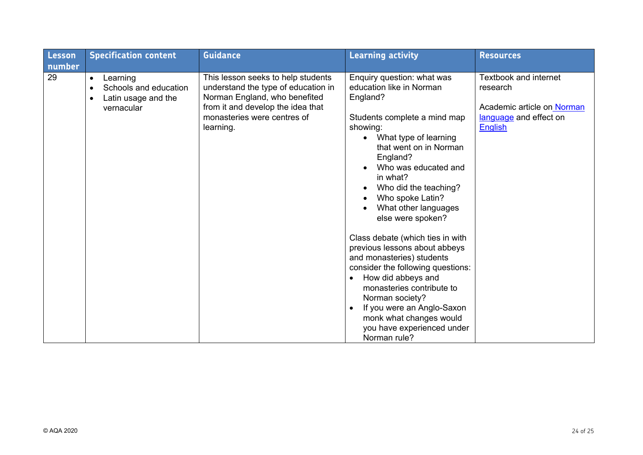| Lesson       | <b>Specification content</b>                                                                                  | <b>Guidance</b>                                                                                                                                                                             | <b>Learning activity</b>                                                                                                                                                                                                                                                                                                      | <b>Resources</b>                                                                                                   |
|--------------|---------------------------------------------------------------------------------------------------------------|---------------------------------------------------------------------------------------------------------------------------------------------------------------------------------------------|-------------------------------------------------------------------------------------------------------------------------------------------------------------------------------------------------------------------------------------------------------------------------------------------------------------------------------|--------------------------------------------------------------------------------------------------------------------|
| number<br>29 | Learning<br>$\bullet$<br>Schools and education<br>$\bullet$<br>Latin usage and the<br>$\bullet$<br>vernacular | This lesson seeks to help students<br>understand the type of education in<br>Norman England, who benefited<br>from it and develop the idea that<br>monasteries were centres of<br>learning. | Enquiry question: what was<br>education like in Norman<br>England?<br>Students complete a mind map<br>showing:<br>What type of learning                                                                                                                                                                                       | <b>Textbook and internet</b><br>research<br>Academic article on Norman<br>language and effect on<br><b>English</b> |
|              |                                                                                                               |                                                                                                                                                                                             | that went on in Norman<br>England?<br>Who was educated and<br>in what?<br>Who did the teaching?<br>$\bullet$<br>Who spoke Latin?<br>٠<br>What other languages<br>else were spoken?                                                                                                                                            |                                                                                                                    |
|              |                                                                                                               |                                                                                                                                                                                             | Class debate (which ties in with<br>previous lessons about abbeys<br>and monasteries) students<br>consider the following questions:<br>How did abbeys and<br>$\bullet$<br>monasteries contribute to<br>Norman society?<br>If you were an Anglo-Saxon<br>monk what changes would<br>you have experienced under<br>Norman rule? |                                                                                                                    |